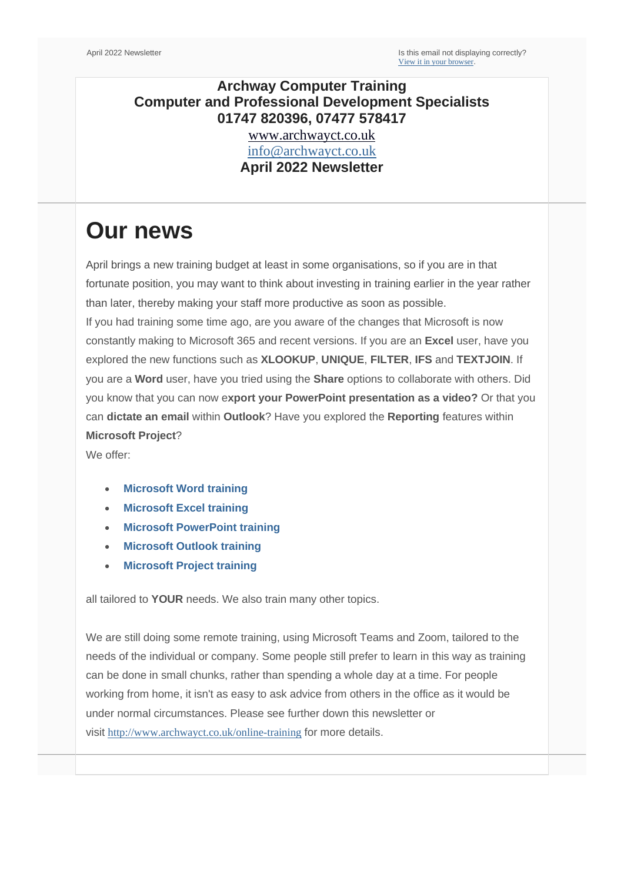### **Archway Computer Training Computer and Professional Development Specialists 01747 820396, 07477 578417**

[www.archwayct.co.uk](http://www.archwayct.co.uk/) [info@archwayct.co.uk](mailto:%20info@archwayct.co.uk) **April 2022 Newsletter**

# **Our news**

April brings a new training budget at least in some organisations, so if you are in that fortunate position, you may want to think about investing in training earlier in the year rather than later, thereby making your staff more productive as soon as possible. If you had training some time ago, are you aware of the changes that Microsoft is now constantly making to Microsoft 365 and recent versions. If you are an **Excel** user, have you explored the new functions such as **XLOOKUP**, **UNIQUE**, **FILTER**, **IFS** and **TEXTJOIN**. If you are a **Word** user, have you tried using the **Share** options to collaborate with others. Did you know that you can now e**xport your PowerPoint presentation as a video?** Or that you can **dictate an email** within **Outlook**? Have you explored the **Reporting** features within **Microsoft Project**?

We offer:

- **[Microsoft Word training](http://www.archwayct.co.uk/microsoft-office-training/microsoft-word-training)**
- **[Microsoft Excel training](http://www.archwayct.co.uk/microsoft-office-training/microsoft-excel-training)**
- **[Microsoft PowerPoint training](http://www.archwayct.co.uk/microsoft-office-training/microsoft-powerpoint-training)**
- **[Microsoft Outlook training](http://www.archwayct.co.uk/microsoft-office-training/microsoft-outlook-training)**
- **[Microsoft Project training](http://www.archwayct.co.uk/it-training/microsoft-project-training)**

all tailored to **YOUR** needs. We also train many other topics.

We are still doing some remote training, using Microsoft Teams and Zoom, tailored to the needs of the individual or company. Some people still prefer to learn in this way as training can be done in small chunks, rather than spending a whole day at a time. For people working from home, it isn't as easy to ask advice from others in the office as it would be under normal circumstances. Please see further down this newsletter or visit <http://www.archwayct.co.uk/online-training> for more details.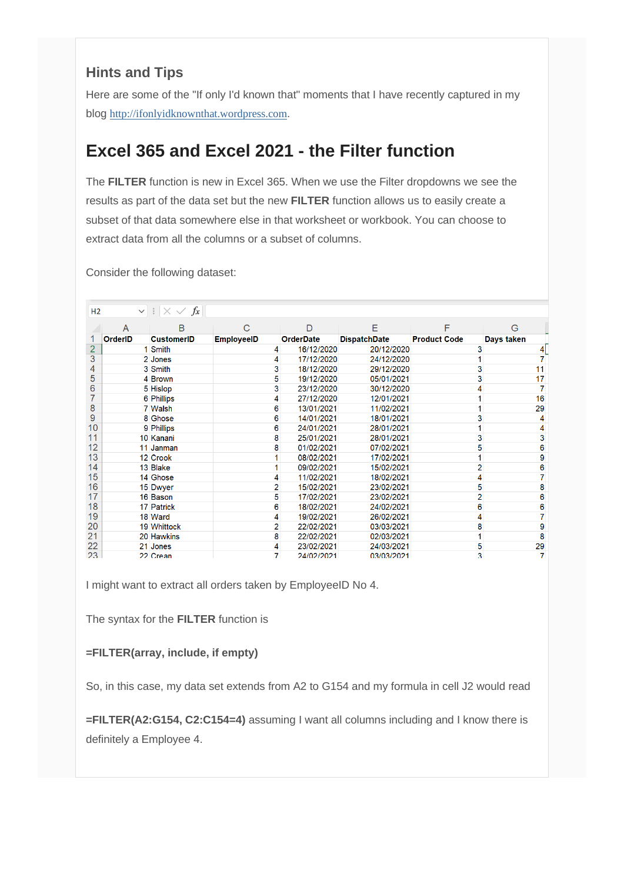### **Hints and Tips**

Here are some of the "If only I'd known that" moments that I have recently captured in my blog [http://ifonlyidknownthat.wordpress.com](http://ifonlyidknownthat.wordpress.com/).

## **Excel 365 and Excel 2021 - the Filter function**

The **FILTER** function is new in Excel 365. When we use the Filter dropdowns we see the results as part of the data set but the new **FILTER** function allows us to easily create a subset of that data somewhere else in that worksheet or workbook. You can choose to extract data from all the columns or a subset of columns.

Consider the following dataset:

| H2             | $\vee$         | $\mathbb{R} \times \mathbb{R} \times f_x$ |                   |                  |                     |                     |            |
|----------------|----------------|-------------------------------------------|-------------------|------------------|---------------------|---------------------|------------|
|                | A              | В                                         | С                 | D                | Е                   | F                   | G          |
|                | <b>OrderID</b> | <b>CustomerID</b>                         | <b>EmployeeID</b> | <b>OrderDate</b> | <b>DispatchDate</b> | <b>Product Code</b> | Days taken |
| $\overline{2}$ |                | 1 Smith                                   | 4                 | 16/12/2020       | 20/12/2020          |                     |            |
| 3              |                | 2 Jones                                   | 4                 | 17/12/2020       | 24/12/2020          |                     |            |
| 4              |                | 3 Smith                                   | 3                 | 18/12/2020       | 29/12/2020          |                     | 11         |
| 5              |                | 4 Brown                                   | 5                 | 19/12/2020       | 05/01/2021          |                     | 17         |
| 6              |                | 5 Hislop                                  | 3                 | 23/12/2020       | 30/12/2020          |                     |            |
|                |                | 6 Phillips                                | 4                 | 27/12/2020       | 12/01/2021          |                     | 16         |
| 8              |                | 7 Walsh                                   | 6                 | 13/01/2021       | 11/02/2021          |                     | 29         |
| 9              |                | 8 Ghose                                   | 6                 | 14/01/2021       | 18/01/2021          |                     |            |
| 10             |                | 9 Phillips                                | 6                 | 24/01/2021       | 28/01/2021          |                     |            |
| 11             |                | 10 Kanani                                 | 8                 | 25/01/2021       | 28/01/2021          |                     | з          |
| 12             |                | 11 Janman                                 | 8                 | 01/02/2021       | 07/02/2021          |                     | 6          |
| 13             |                | 12 Crook                                  |                   | 08/02/2021       | 17/02/2021          |                     | 9          |
| 14             |                | 13 Blake                                  |                   | 09/02/2021       | 15/02/2021          |                     | 6          |
| 15             |                | 14 Ghose                                  | 4                 | 11/02/2021       | 18/02/2021          |                     |            |
| 16             |                | 15 Dwyer                                  | 2                 | 15/02/2021       | 23/02/2021          |                     | 8          |
| 17             |                | 16 Bason                                  | 5                 | 17/02/2021       | 23/02/2021          |                     | 6          |
| 18             |                | 17 Patrick                                | 6                 | 18/02/2021       | 24/02/2021          | 6                   | 6          |
| 19             |                | 18 Ward                                   | 4                 | 19/02/2021       | 26/02/2021          |                     | 7          |
| 20             |                | 19 Whittock                               | 2                 | 22/02/2021       | 03/03/2021          | 8                   | 9          |
| 21             |                | 20 Hawkins                                | 8                 | 22/02/2021       | 02/03/2021          |                     | 8          |
| 22             |                | 21 Jones                                  | 4                 | 23/02/2021       | 24/03/2021          | 5                   | 29         |
| 23             |                | 22 Crean                                  | 7.                | 24/02/2021       | 03/03/2021          | 3                   | 7          |

I might want to extract all orders taken by EmployeeID No 4.

The syntax for the **FILTER** function is

**=FILTER(array, include, if empty)**

So, in this case, my data set extends from A2 to G154 and my formula in cell J2 would read

**=FILTER(A2:G154, C2:C154=4)** assuming I want all columns including and I know there is definitely a Employee 4.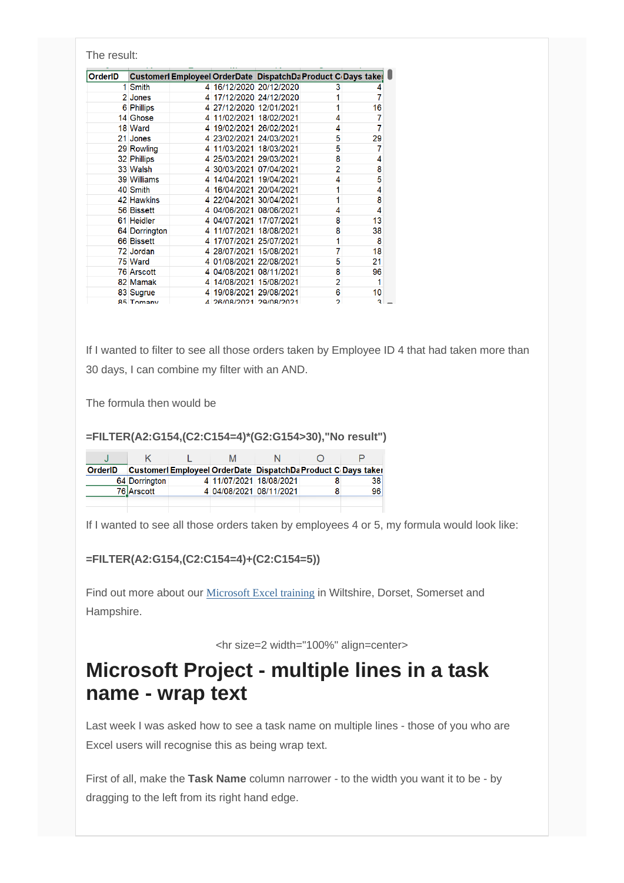| The result:    |                   |              |                         |                                                              |                |    |
|----------------|-------------------|--------------|-------------------------|--------------------------------------------------------------|----------------|----|
| <b>OrderID</b> |                   |              |                         | Customerl Employeel OrderDate DispatchDa Product C Days take |                |    |
|                | 1 Smith           |              | 4 16/12/2020 20/12/2020 |                                                              | 3              |    |
|                | 2 Jones           | 4            |                         | 17/12/2020 24/12/2020                                        |                |    |
|                | 6 Phillips        | 4            | 27/12/2020 12/01/2021   |                                                              |                | 16 |
|                | 14 Ghose          | 4            |                         | 11/02/2021 18/02/2021                                        | 4              |    |
|                | 18 Ward           | 4            |                         | 19/02/2021 26/02/2021                                        | 4              | 7  |
|                | 21 Jones          | 4            | 23/02/2021 24/03/2021   |                                                              | 5              | 29 |
|                | 29 Rowling        | 4            |                         | 11/03/2021 18/03/2021                                        | 5              |    |
|                | 32 Phillips       | 4            | 25/03/2021 29/03/2021   |                                                              | 8              | 4  |
|                | 33 Walsh          | $\mathbf{A}$ | 30/03/2021 07/04/2021   |                                                              | $\overline{2}$ | 8  |
|                | 39 Williams       | $\mathbf{A}$ |                         | 14/04/2021 19/04/2021                                        | 4              | 5  |
|                | 40 Smith          | $\mathbf{A}$ |                         | 16/04/2021 20/04/2021                                        | 1              | 4  |
|                | 42 Hawkins        | 4            | 22/04/2021 30/04/2021   |                                                              | 1              | 8  |
|                | 56 Bissett        | 4            | 04/06/2021 08/06/2021   |                                                              | 4              | 4  |
|                | 61 Heidler        | 4            | 04/07/2021 17/07/2021   |                                                              | 8              | 13 |
|                | 64 Dorrington     | 4            |                         | 11/07/2021 18/08/2021                                        | 8              | 38 |
|                | 66 Bissett        | 4            |                         | 17/07/2021 25/07/2021                                        | 1              | 8  |
|                | 72 Jordan         | Δ            |                         | 28/07/2021 15/08/2021                                        | 7              | 18 |
|                | 75 Ward           | 4            | 01/08/2021 22/08/2021   |                                                              | 5              | 21 |
|                | <b>76 Arscott</b> | 4            | 04/08/2021 08/11/2021   |                                                              | 8              | 96 |
|                | 82 Mamak          | 4            |                         | 14/08/2021 15/08/2021                                        | $\overline{2}$ | 1  |
|                | 83 Sugrue         |              |                         | 19/08/2021 29/08/2021                                        | 6              | 10 |
|                | 85 Tomany         |              | 4 26/08/2021 29/08/2021 |                                                              | b              | ٩  |

If I wanted to filter to see all those orders taken by Employee ID 4 that had taken more than 30 days, I can combine my filter with an AND.

The formula then would be

#### **=FILTER(A2:G154,(C2:C154=4)\*(G2:G154>30),"No result")**

|                |                     | M |                                                               |    |
|----------------|---------------------|---|---------------------------------------------------------------|----|
| <b>OrderID</b> |                     |   | Customerl Employeel OrderDate DispatchDa Product C Days taker |    |
|                | 64 Dorrington       |   | 4 11/07/2021 18/08/2021                                       | 38 |
|                | 76 <u> </u> Arscott |   | 4 04/08/2021 08/11/2021                                       | 96 |
|                |                     |   |                                                               |    |

If I wanted to see all those orders taken by employees 4 or 5, my formula would look like:

#### **=FILTER(A2:G154,(C2:C154=4)+(C2:C154=5))**

Find out more about our [Microsoft Excel training](http://www.archwayct.co.uk/microsoft-office-training/microsoft-excel-training) in Wiltshire, Dorset, Somerset and Hampshire.

<hr size=2 width="100%" align=center>

# **Microsoft Project - multiple lines in a task name - wrap text**

Last week I was asked how to see a task name on multiple lines - those of you who are Excel users will recognise this as being wrap text.

First of all, make the **Task Name** column narrower - to the width you want it to be - by dragging to the left from its right hand edge.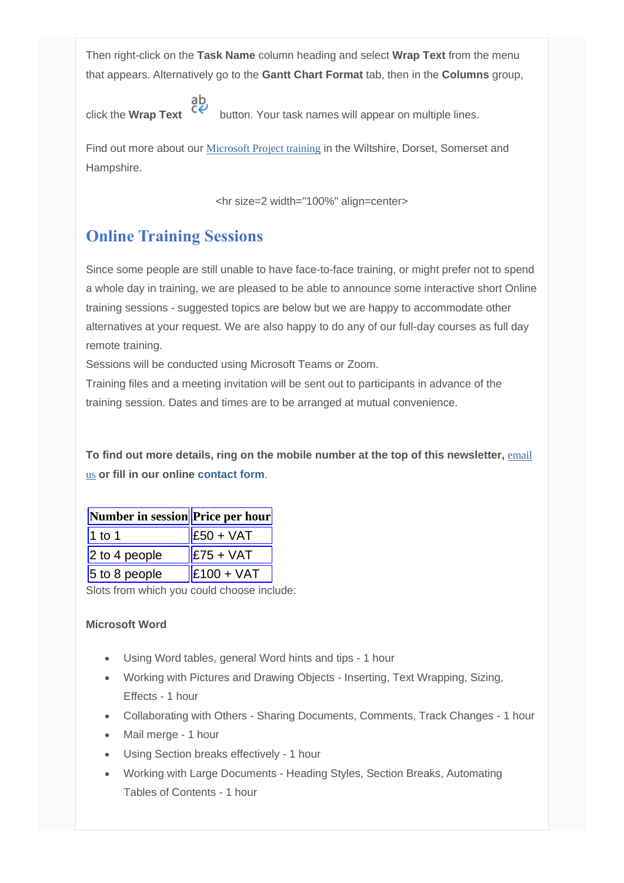Then right-click on the **Task Name** column heading and select **Wrap Text** from the menu that appears. Alternatively go to the **Gantt Chart Format** tab, then in the **Columns** group,

click the **Wrap Text** button. Your task names will appear on multiple lines.

Find out more about our **[Microsoft Project training](http://www.archwayct.co.uk/it-training/microsoft-project-training)** in the Wiltshire, Dorset, Somerset and Hampshire.

<hr size=2 width="100%" align=center>

### **Online Training Sessions**

Since some people are still unable to have face-to-face training, or might prefer not to spend a whole day in training, we are pleased to be able to announce some interactive short Online training sessions - suggested topics are below but we are happy to accommodate other alternatives at your request. We are also happy to do any of our full-day courses as full day remote training.

Sessions will be conducted using Microsoft Teams or Zoom.

Training files and a meeting invitation will be sent out to participants in advance of the training session. Dates and times are to be arranged at mutual convenience.

**To find out more details, ring on the mobile number at the top of this newsletter,** [email](mailto:info@archwayct.co.uk?subject=Online%20training)  [us](mailto:info@archwayct.co.uk?subject=Online%20training) **or fill in our online [contact form](http://www.archwayct.co.uk/contact)**.

| Number in session Price per hour |               |  |  |
|----------------------------------|---------------|--|--|
| $1$ to 1                         | $ E50 + VAT $ |  |  |
| $2$ to 4 people                  | $ E75 + VAT $ |  |  |
| $5$ to 8 people                  | $E100 + VAT$  |  |  |

Slots from which you could choose include:

#### **Microsoft Word**

- Using Word tables, general Word hints and tips 1 hour
- Working with Pictures and Drawing Objects Inserting, Text Wrapping, Sizing, Effects - 1 hour
- Collaborating with Others Sharing Documents, Comments, Track Changes 1 hour
- Mail merge 1 hour
- Using Section breaks effectively 1 hour
- Working with Large Documents Heading Styles, Section Breaks, Automating Tables of Contents - 1 hour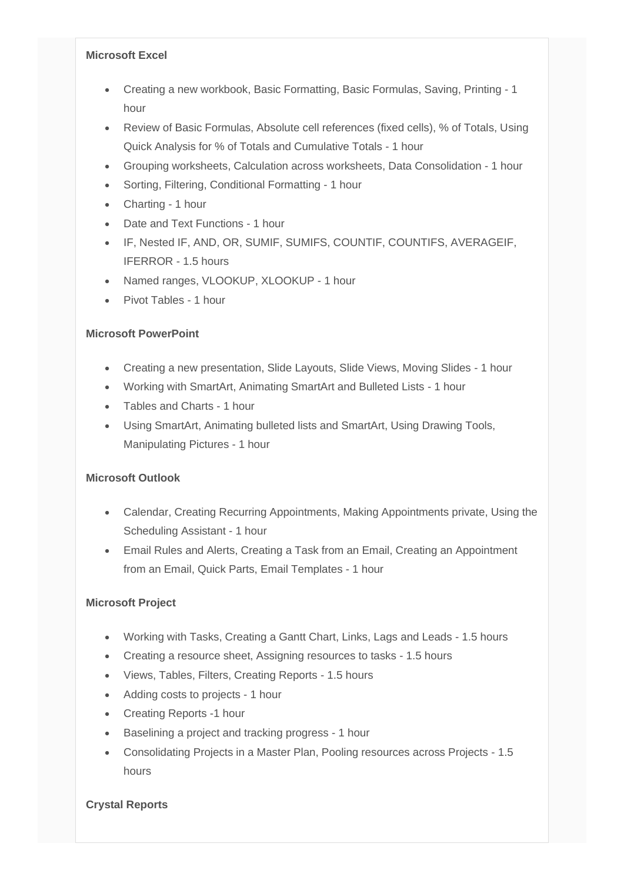#### **Microsoft Excel**

- Creating a new workbook, Basic Formatting, Basic Formulas, Saving, Printing 1 hour
- Review of Basic Formulas, Absolute cell references (fixed cells), % of Totals, Using Quick Analysis for % of Totals and Cumulative Totals - 1 hour
- Grouping worksheets, Calculation across worksheets, Data Consolidation 1 hour
- Sorting, Filtering, Conditional Formatting 1 hour
- Charting 1 hour
- Date and Text Functions 1 hour
- IF, Nested IF, AND, OR, SUMIF, SUMIFS, COUNTIF, COUNTIFS, AVERAGEIF, IFERROR - 1.5 hours
- Named ranges, VLOOKUP, XLOOKUP 1 hour
- Pivot Tables 1 hour

#### **Microsoft PowerPoint**

- Creating a new presentation, Slide Layouts, Slide Views, Moving Slides 1 hour
- Working with SmartArt, Animating SmartArt and Bulleted Lists 1 hour
- Tables and Charts 1 hour
- Using SmartArt, Animating bulleted lists and SmartArt, Using Drawing Tools, Manipulating Pictures - 1 hour

#### **Microsoft Outlook**

- Calendar, Creating Recurring Appointments, Making Appointments private, Using the Scheduling Assistant - 1 hour
- Email Rules and Alerts, Creating a Task from an Email, Creating an Appointment from an Email, Quick Parts, Email Templates - 1 hour

#### **Microsoft Project**

- Working with Tasks, Creating a Gantt Chart, Links, Lags and Leads 1.5 hours
- Creating a resource sheet, Assigning resources to tasks 1.5 hours
- Views, Tables, Filters, Creating Reports 1.5 hours
- Adding costs to projects 1 hour
- Creating Reports -1 hour
- Baselining a project and tracking progress 1 hour
- Consolidating Projects in a Master Plan, Pooling resources across Projects 1.5 hours

#### **Crystal Reports**